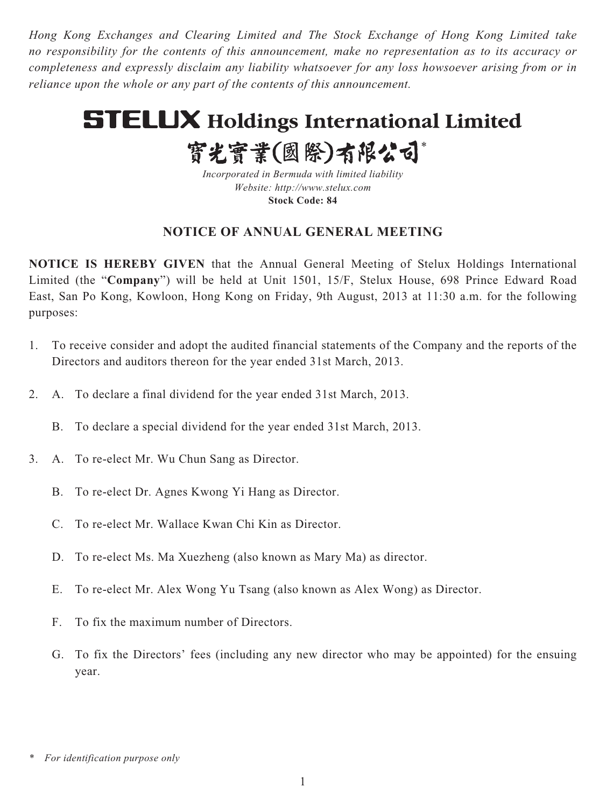*Hong Kong Exchanges and Clearing Limited and The Stock Exchange of Hong Kong Limited take no responsibility for the contents of this announcement, make no representation as to its accuracy or completeness and expressly disclaim any liability whatsoever for any loss howsoever arising from or in reliance upon the whole or any part of the contents of this announcement.*

# **STELUX Holdings International Limited**

實光實業(國際)有限公司\*

*Incorporated in Bermuda with limited liability Website: http://www.stelux.com* **Stock Code: 84**

# **NOTICE OF ANNUAL GENERAL MEETING**

**NOTICE IS HEREBY GIVEN** that the Annual General Meeting of Stelux Holdings International Limited (the "**Company**") will be held at Unit 1501, 15/F, Stelux House, 698 Prince Edward Road East, San Po Kong, Kowloon, Hong Kong on Friday, 9th August, 2013 at 11:30 a.m. for the following purposes:

- 1. To receive consider and adopt the audited financial statements of the Company and the reports of the Directors and auditors thereon for the year ended 31st March, 2013.
- 2. A. To declare a final dividend for the year ended 31st March, 2013.
	- B. To declare a special dividend for the year ended 31st March, 2013.
- 3. A. To re-elect Mr. Wu Chun Sang as Director.
	- B. To re-elect Dr. Agnes Kwong Yi Hang as Director.
	- C. To re-elect Mr. Wallace Kwan Chi Kin as Director.
	- D. To re-elect Ms. Ma Xuezheng (also known as Mary Ma) as director.
	- E. To re-elect Mr. Alex Wong Yu Tsang (also known as Alex Wong) as Director.
	- F. To fix the maximum number of Directors.
	- G. To fix the Directors' fees (including any new director who may be appointed) for the ensuing year.

*<sup>\*</sup> For identification purpose only*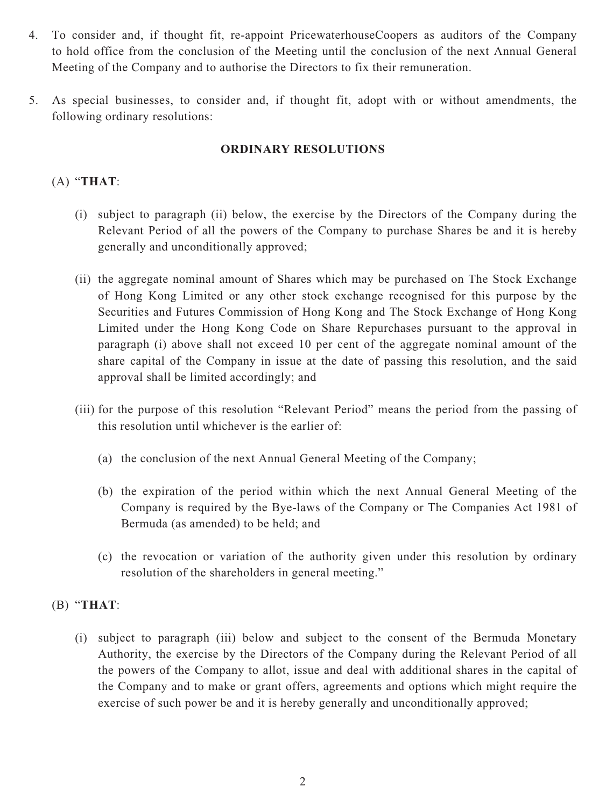- 4. To consider and, if thought fit, re-appoint PricewaterhouseCoopers as auditors of the Company to hold office from the conclusion of the Meeting until the conclusion of the next Annual General Meeting of the Company and to authorise the Directors to fix their remuneration.
- 5. As special businesses, to consider and, if thought fit, adopt with or without amendments, the following ordinary resolutions:

### **ORDINARY RESOLUTIONS**

## (A) "**THAT**:

- (i) subject to paragraph (ii) below, the exercise by the Directors of the Company during the Relevant Period of all the powers of the Company to purchase Shares be and it is hereby generally and unconditionally approved;
- (ii) the aggregate nominal amount of Shares which may be purchased on The Stock Exchange of Hong Kong Limited or any other stock exchange recognised for this purpose by the Securities and Futures Commission of Hong Kong and The Stock Exchange of Hong Kong Limited under the Hong Kong Code on Share Repurchases pursuant to the approval in paragraph (i) above shall not exceed 10 per cent of the aggregate nominal amount of the share capital of the Company in issue at the date of passing this resolution, and the said approval shall be limited accordingly; and
- (iii) for the purpose of this resolution "Relevant Period" means the period from the passing of this resolution until whichever is the earlier of:
	- (a) the conclusion of the next Annual General Meeting of the Company;
	- (b) the expiration of the period within which the next Annual General Meeting of the Company is required by the Bye-laws of the Company or The Companies Act 1981 of Bermuda (as amended) to be held; and
	- (c) the revocation or variation of the authority given under this resolution by ordinary resolution of the shareholders in general meeting."

### (B) "**THAT**:

(i) subject to paragraph (iii) below and subject to the consent of the Bermuda Monetary Authority, the exercise by the Directors of the Company during the Relevant Period of all the powers of the Company to allot, issue and deal with additional shares in the capital of the Company and to make or grant offers, agreements and options which might require the exercise of such power be and it is hereby generally and unconditionally approved;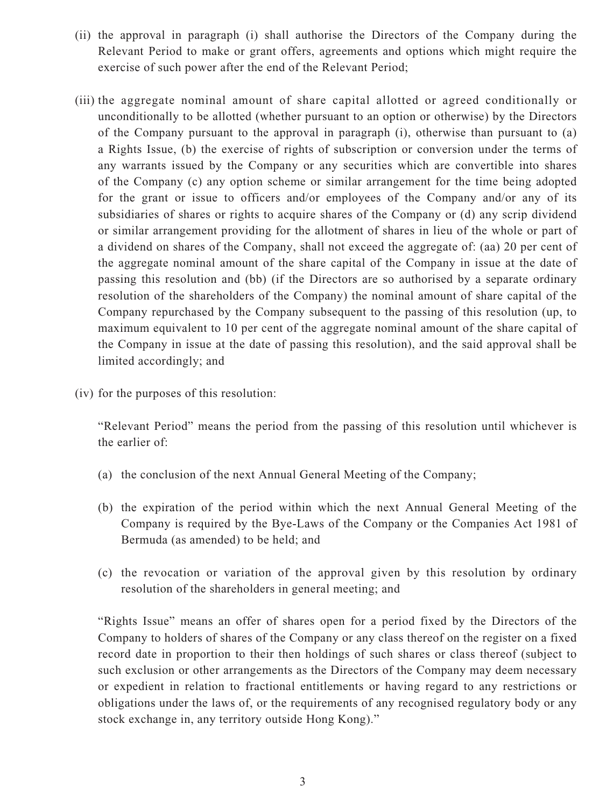- (ii) the approval in paragraph (i) shall authorise the Directors of the Company during the Relevant Period to make or grant offers, agreements and options which might require the exercise of such power after the end of the Relevant Period;
- (iii) the aggregate nominal amount of share capital allotted or agreed conditionally or unconditionally to be allotted (whether pursuant to an option or otherwise) by the Directors of the Company pursuant to the approval in paragraph (i), otherwise than pursuant to (a) a Rights Issue, (b) the exercise of rights of subscription or conversion under the terms of any warrants issued by the Company or any securities which are convertible into shares of the Company (c) any option scheme or similar arrangement for the time being adopted for the grant or issue to officers and/or employees of the Company and/or any of its subsidiaries of shares or rights to acquire shares of the Company or (d) any scrip dividend or similar arrangement providing for the allotment of shares in lieu of the whole or part of a dividend on shares of the Company, shall not exceed the aggregate of: (aa) 20 per cent of the aggregate nominal amount of the share capital of the Company in issue at the date of passing this resolution and (bb) (if the Directors are so authorised by a separate ordinary resolution of the shareholders of the Company) the nominal amount of share capital of the Company repurchased by the Company subsequent to the passing of this resolution (up, to maximum equivalent to 10 per cent of the aggregate nominal amount of the share capital of the Company in issue at the date of passing this resolution), and the said approval shall be limited accordingly; and
- (iv) for the purposes of this resolution:

"Relevant Period" means the period from the passing of this resolution until whichever is the earlier of:

- (a) the conclusion of the next Annual General Meeting of the Company;
- (b) the expiration of the period within which the next Annual General Meeting of the Company is required by the Bye-Laws of the Company or the Companies Act 1981 of Bermuda (as amended) to be held; and
- (c) the revocation or variation of the approval given by this resolution by ordinary resolution of the shareholders in general meeting; and

"Rights Issue" means an offer of shares open for a period fixed by the Directors of the Company to holders of shares of the Company or any class thereof on the register on a fixed record date in proportion to their then holdings of such shares or class thereof (subject to such exclusion or other arrangements as the Directors of the Company may deem necessary or expedient in relation to fractional entitlements or having regard to any restrictions or obligations under the laws of, or the requirements of any recognised regulatory body or any stock exchange in, any territory outside Hong Kong)."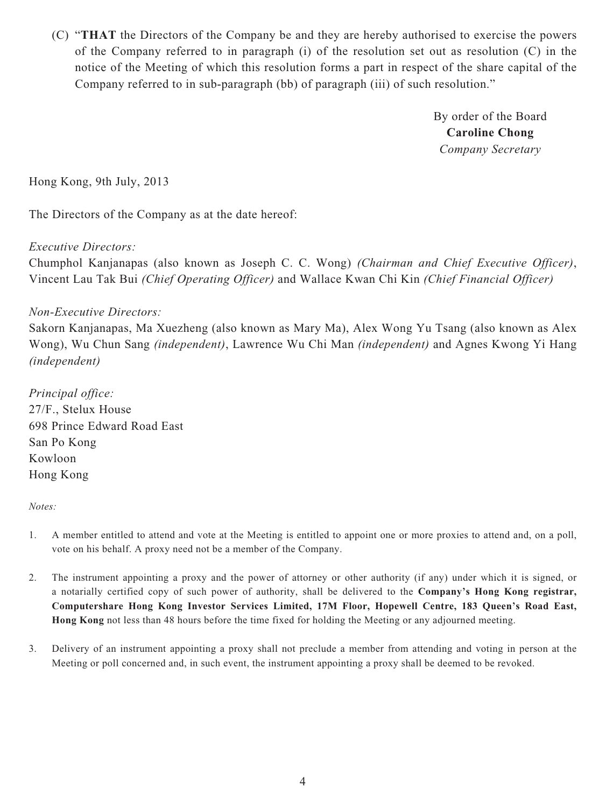(C) "**THAT** the Directors of the Company be and they are hereby authorised to exercise the powers of the Company referred to in paragraph (i) of the resolution set out as resolution (C) in the notice of the Meeting of which this resolution forms a part in respect of the share capital of the Company referred to in sub-paragraph (bb) of paragraph (iii) of such resolution."

> By order of the Board **Caroline Chong** *Company Secretary*

Hong Kong, 9th July, 2013

The Directors of the Company as at the date hereof:

#### *Executive Directors:*

Chumphol Kanjanapas (also known as Joseph C. C. Wong) *(Chairman and Chief Executive Officer)*, Vincent Lau Tak Bui *(Chief Operating Officer)* and Wallace Kwan Chi Kin *(Chief Financial Officer)*

#### *Non-Executive Directors:*

Sakorn Kanjanapas, Ma Xuezheng (also known as Mary Ma), Alex Wong Yu Tsang (also known as Alex Wong), Wu Chun Sang *(independent)*, Lawrence Wu Chi Man *(independent)* and Agnes Kwong Yi Hang *(independent)*

*Principal office:* 27/F., Stelux House 698 Prince Edward Road East San Po Kong Kowloon Hong Kong

#### *Notes:*

- 1. A member entitled to attend and vote at the Meeting is entitled to appoint one or more proxies to attend and, on a poll, vote on his behalf. A proxy need not be a member of the Company.
- 2. The instrument appointing a proxy and the power of attorney or other authority (if any) under which it is signed, or a notarially certified copy of such power of authority, shall be delivered to the **Company's Hong Kong registrar, Computershare Hong Kong Investor Services Limited, 17M Floor, Hopewell Centre, 183 Queen's Road East, Hong Kong** not less than 48 hours before the time fixed for holding the Meeting or any adjourned meeting.
- 3. Delivery of an instrument appointing a proxy shall not preclude a member from attending and voting in person at the Meeting or poll concerned and, in such event, the instrument appointing a proxy shall be deemed to be revoked.